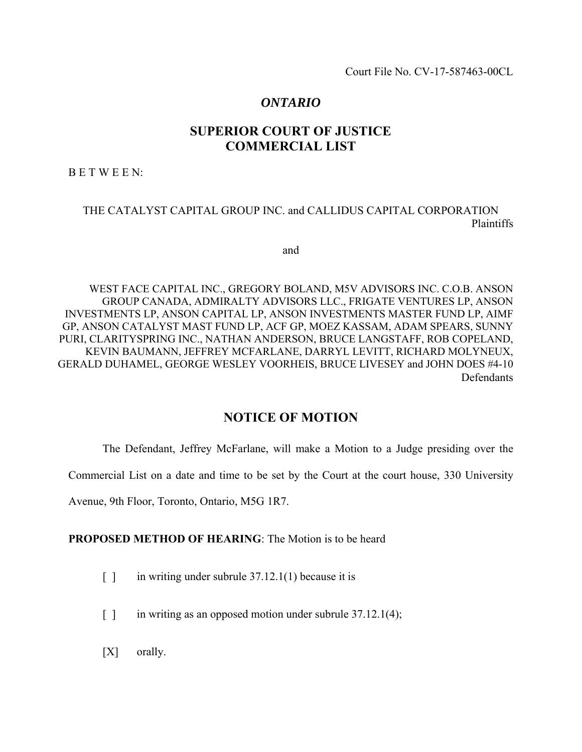Court File No. CV-17-587463-00CL

# *ONTARIO*

# **SUPERIOR COURT OF JUSTICE COMMERCIAL LIST**

B E T W E E N:

## THE CATALYST CAPITAL GROUP INC. and CALLIDUS CAPITAL CORPORATION Plaintiffs

and

WEST FACE CAPITAL INC., GREGORY BOLAND, M5V ADVISORS INC. C.O.B. ANSON GROUP CANADA, ADMIRALTY ADVISORS LLC., FRIGATE VENTURES LP, ANSON INVESTMENTS LP, ANSON CAPITAL LP, ANSON INVESTMENTS MASTER FUND LP, AIMF GP, ANSON CATALYST MAST FUND LP, ACF GP, MOEZ KASSAM, ADAM SPEARS, SUNNY PURI, CLARITYSPRING INC., NATHAN ANDERSON, BRUCE LANGSTAFF, ROB COPELAND, KEVIN BAUMANN, JEFFREY MCFARLANE, DARRYL LEVITT, RICHARD MOLYNEUX, GERALD DUHAMEL, GEORGE WESLEY VOORHEIS, BRUCE LIVESEY and JOHN DOES #4-10 Defendants

## **NOTICE OF MOTION**

The Defendant, Jeffrey McFarlane, will make a Motion to a Judge presiding over the

Commercial List on a date and time to be set by the Court at the court house, 330 University

Avenue, 9th Floor, Toronto, Ontario, M5G 1R7.

**PROPOSED METHOD OF HEARING:** The Motion is to be heard

- [ ] in writing under subrule 37.12.1(1) because it is
- [ ] in writing as an opposed motion under subrule 37.12.1(4);
- [X] orally.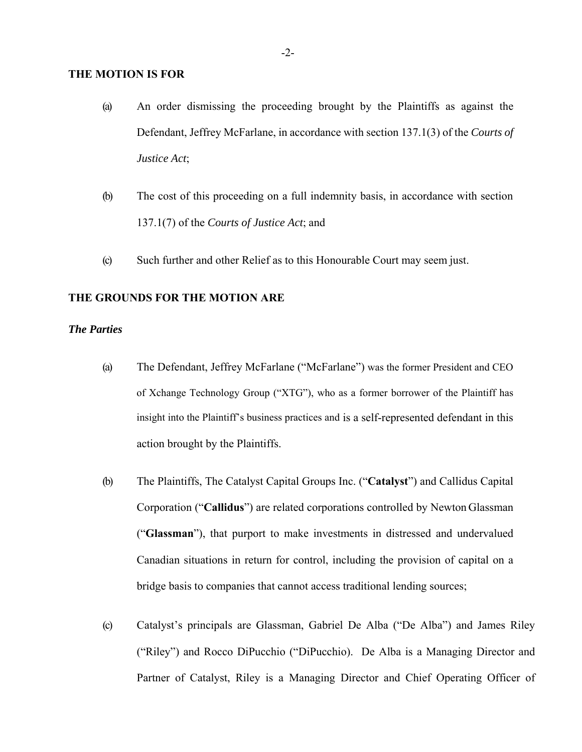### **THE MOTION IS FOR**

- (a) An order dismissing the proceeding brought by the Plaintiffs as against the Defendant, Jeffrey McFarlane, in accordance with section 137.1(3) of the *Courts of Justice Act*;
- (b) The cost of this proceeding on a full indemnity basis, in accordance with section 137.1(7) of the *Courts of Justice Act*; and
- (c) Such further and other Relief as to this Honourable Court may seem just.

## **THE GROUNDS FOR THE MOTION ARE**

## *The Parties*

- (a) The Defendant, Jeffrey McFarlane ("McFarlane") was the former President and CEO of Xchange Technology Group ("XTG"), who as a former borrower of the Plaintiff has insight into the Plaintiff's business practices and is a self-represented defendant in this action brought by the Plaintiffs.
- (b) The Plaintiffs, The Catalyst Capital Groups Inc. ("**Catalyst**") and Callidus Capital Corporation ("**Callidus**") are related corporations controlled by Newton Glassman ("**Glassman**"), that purport to make investments in distressed and undervalued Canadian situations in return for control, including the provision of capital on a bridge basis to companies that cannot access traditional lending sources;
- (c) Catalyst's principals are Glassman, Gabriel De Alba ("De Alba") and James Riley ("Riley") and Rocco DiPucchio ("DiPucchio). De Alba is a Managing Director and Partner of Catalyst, Riley is a Managing Director and Chief Operating Officer of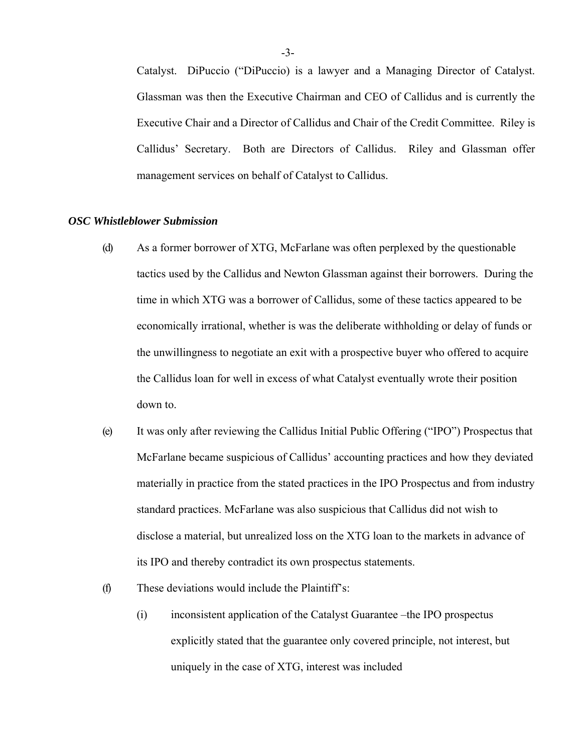Catalyst. DiPuccio ("DiPuccio) is a lawyer and a Managing Director of Catalyst. Glassman was then the Executive Chairman and CEO of Callidus and is currently the Executive Chair and a Director of Callidus and Chair of the Credit Committee. Riley is Callidus' Secretary. Both are Directors of Callidus. Riley and Glassman offer management services on behalf of Catalyst to Callidus.

#### *OSC Whistleblower Submission*

- (d) As a former borrower of XTG, McFarlane was often perplexed by the questionable tactics used by the Callidus and Newton Glassman against their borrowers. During the time in which XTG was a borrower of Callidus, some of these tactics appeared to be economically irrational, whether is was the deliberate withholding or delay of funds or the unwillingness to negotiate an exit with a prospective buyer who offered to acquire the Callidus loan for well in excess of what Catalyst eventually wrote their position down to.
- (e) It was only after reviewing the Callidus Initial Public Offering ("IPO") Prospectus that McFarlane became suspicious of Callidus' accounting practices and how they deviated materially in practice from the stated practices in the IPO Prospectus and from industry standard practices. McFarlane was also suspicious that Callidus did not wish to disclose a material, but unrealized loss on the XTG loan to the markets in advance of its IPO and thereby contradict its own prospectus statements.
- (f) These deviations would include the Plaintiff's:
	- (i) inconsistent application of the Catalyst Guarantee –the IPO prospectus explicitly stated that the guarantee only covered principle, not interest, but uniquely in the case of XTG, interest was included

-3-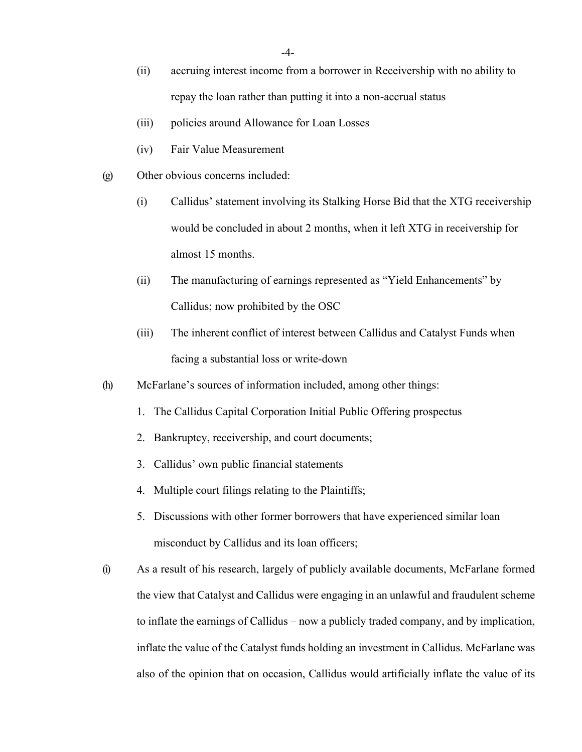- (ii) accruing interest income from a borrower in Receivership with no ability to repay the loan rather than putting it into a non-accrual status
- (iii) policies around Allowance for Loan Losses
- (iv) Fair Value Measurement
- (g) Other obvious concerns included:
	- (i) Callidus' statement involving its Stalking Horse Bid that the XTG receivership would be concluded in about 2 months, when it left XTG in receivership for almost 15 months.
	- (ii) The manufacturing of earnings represented as "Yield Enhancements" by Callidus; now prohibited by the OSC
	- (iii) The inherent conflict of interest between Callidus and Catalyst Funds when facing a substantial loss or write-down
- (h) McFarlane's sources of information included, among other things:
	- 1. The Callidus Capital Corporation Initial Public Offering prospectus
	- 2. Bankruptcy, receivership, and court documents;
	- 3. Callidus' own public financial statements
	- 4. Multiple court filings relating to the Plaintiffs;
	- 5. Discussions with other former borrowers that have experienced similar loan misconduct by Callidus and its loan officers;
- (i) As a result of his research, largely of publicly available documents, McFarlane formed the view that Catalyst and Callidus were engaging in an unlawful and fraudulent scheme to inflate the earnings of Callidus – now a publicly traded company, and by implication, inflate the value of the Catalyst funds holding an investment in Callidus. McFarlane was also of the opinion that on occasion, Callidus would artificially inflate the value of its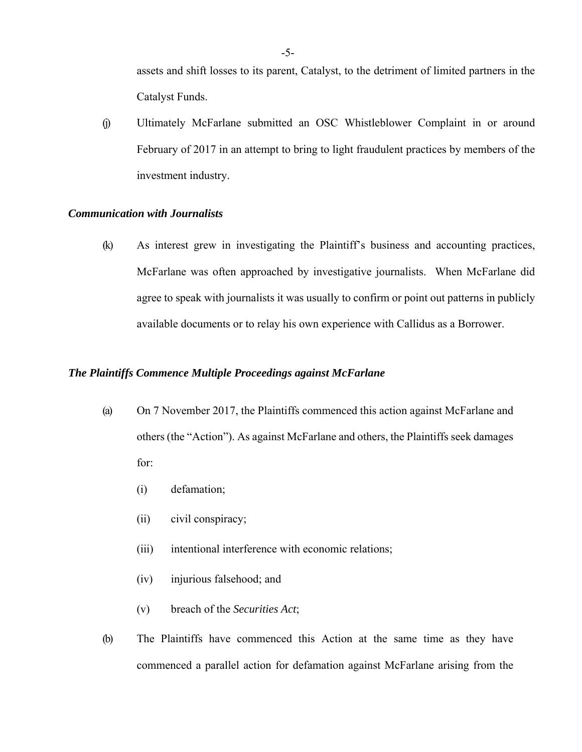assets and shift losses to its parent, Catalyst, to the detriment of limited partners in the Catalyst Funds.

(j) Ultimately McFarlane submitted an OSC Whistleblower Complaint in or around February of 2017 in an attempt to bring to light fraudulent practices by members of the investment industry.

### *Communication with Journalists*

(k) As interest grew in investigating the Plaintiff's business and accounting practices, McFarlane was often approached by investigative journalists. When McFarlane did agree to speak with journalists it was usually to confirm or point out patterns in publicly available documents or to relay his own experience with Callidus as a Borrower.

## *The Plaintiffs Commence Multiple Proceedings against McFarlane*

- (a) On 7 November 2017, the Plaintiffs commenced this action against McFarlane and others (the "Action"). As against McFarlane and others, the Plaintiffs seek damages for:
	- (i) defamation;
	- (ii) civil conspiracy;
	- (iii) intentional interference with economic relations;
	- (iv) injurious falsehood; and
	- (v) breach of the *Securities Act*;
- (b) The Plaintiffs have commenced this Action at the same time as they have commenced a parallel action for defamation against McFarlane arising from the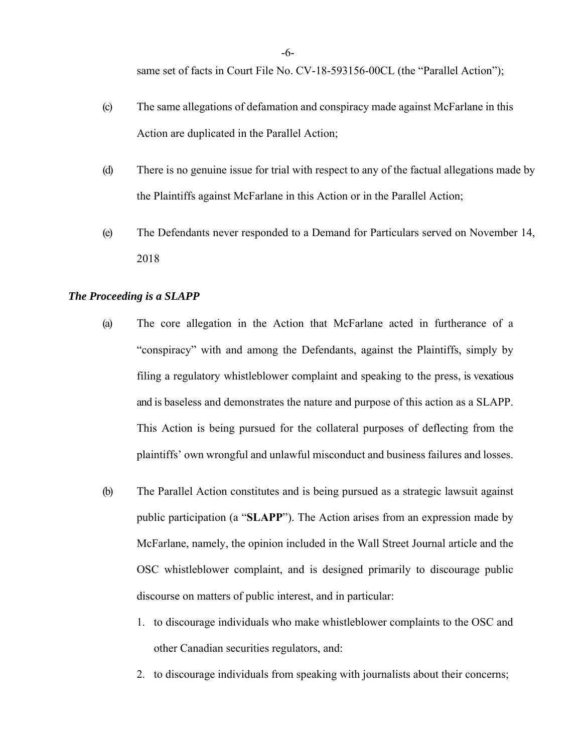same set of facts in Court File No. CV-18-593156-00CL (the "Parallel Action");

- (c) The same allegations of defamation and conspiracy made against McFarlane in this Action are duplicated in the Parallel Action;
- (d) There is no genuine issue for trial with respect to any of the factual allegations made by the Plaintiffs against McFarlane in this Action or in the Parallel Action;
- (e) The Defendants never responded to a Demand for Particulars served on November 14, 2018

#### *The Proceeding is a SLAPP*

- (a) The core allegation in the Action that McFarlane acted in furtherance of a "conspiracy" with and among the Defendants, against the Plaintiffs, simply by filing a regulatory whistleblower complaint and speaking to the press, is vexatious and is baseless and demonstrates the nature and purpose of this action as a SLAPP. This Action is being pursued for the collateral purposes of deflecting from the plaintiffs' own wrongful and unlawful misconduct and business failures and losses.
- (b) The Parallel Action constitutes and is being pursued as a strategic lawsuit against public participation (a "**SLAPP**"). The Action arises from an expression made by McFarlane, namely, the opinion included in the Wall Street Journal article and the OSC whistleblower complaint, and is designed primarily to discourage public discourse on matters of public interest, and in particular:
	- 1. to discourage individuals who make whistleblower complaints to the OSC and other Canadian securities regulators, and:
	- 2. to discourage individuals from speaking with journalists about their concerns;

-6-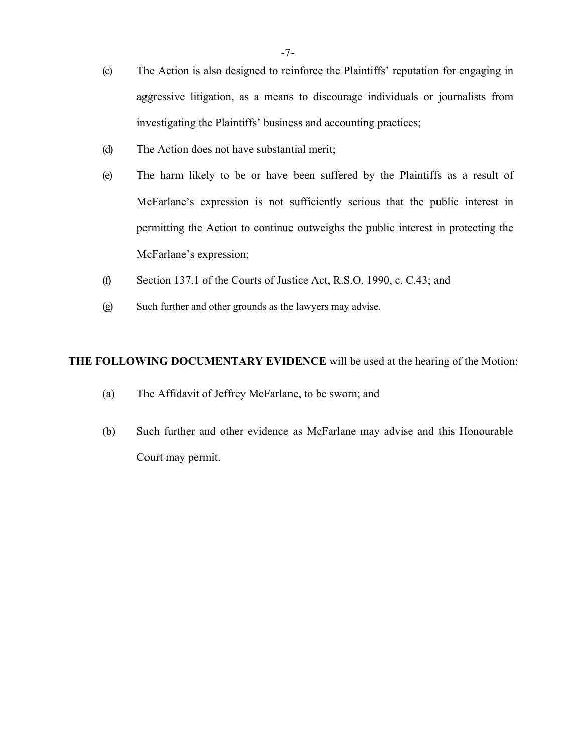- (c) The Action is also designed to reinforce the Plaintiffs' reputation for engaging in aggressive litigation, as a means to discourage individuals or journalists from investigating the Plaintiffs' business and accounting practices;
- (d) The Action does not have substantial merit;
- (e) The harm likely to be or have been suffered by the Plaintiffs as a result of McFarlane's expression is not sufficiently serious that the public interest in permitting the Action to continue outweighs the public interest in protecting the McFarlane's expression;
- (f) Section 137.1 of the Courts of Justice Act, R.S.O. 1990, c. C.43; and
- (g) Such further and other grounds as the lawyers may advise.

## **THE FOLLOWING DOCUMENTARY EVIDENCE** will be used at the hearing of the Motion:

- (a) The Affidavit of Jeffrey McFarlane, to be sworn; and
- (b) Such further and other evidence as McFarlane may advise and this Honourable Court may permit.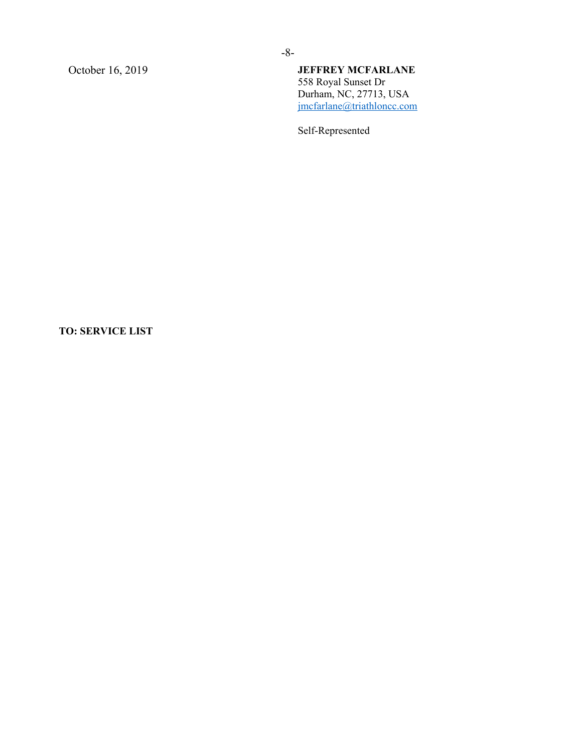## October 16, 2019 **JEFFREY MCFARLANE**  558 Royal Sunset Dr Durham, NC, 27713, USA jmcfarlane@triathloncc.com

Self-Represented

# **TO: SERVICE LIST**